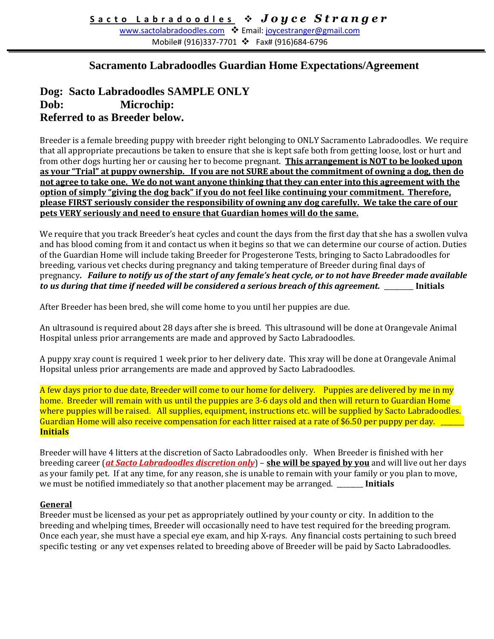[www.sactolabradoodles.com](http://www.sactolabradoodles.com/) ❖ Email: [joycestranger@gmail.com](mailto:joycestranger@gmail.com) Mobile# (916)337-7701 ❖ Fax# (916)684-6796

# **Sacramento Labradoodles Guardian Home Expectations/Agreement**

## **Dog: Sacto Labradoodles SAMPLE ONLY Dob: Microchip: Referred to as Breeder below.**

Breeder is a female breeding puppy with breeder right belonging to ONLY Sacramento Labradoodles. We require that all appropriate precautions be taken to ensure that she is kept safe both from getting loose, lost or hurt and from other dogs hurting her or causing her to become pregnant. **This arrangement is NOT to be looked upon as your "Trial" at puppy ownership. If you are not SURE about the commitment of owning a dog, then do not agree to take one. We do not want anyone thinking that they can enter into this agreement with the option of simply "giving the dog back" if you do not feel like continuing your commitment. Therefore, please FIRST seriously consider the responsibility of owning any dog carefully. We take the care of our pets VERY seriously and need to ensure that Guardian homes will do the same.** 

We require that you track Breeder's heat cycles and count the days from the first day that she has a swollen vulva and has blood coming from it and contact us when it begins so that we can determine our course of action. Duties of the Guardian Home will include taking Breeder for Progesterone Tests, bringing to Sacto Labradoodles for breeding, various vet checks during pregnancy and taking temperature of Breeder during final days of pregnancy*. Failure to notify us of the start of any female's heat cycle, or to not have Breeder made available to us during that time if needed will be considered a serious breach of this agreement.* \_\_\_\_\_\_\_\_\_ **Initials**

After Breeder has been bred, she will come home to you until her puppies are due.

An ultrasound is required about 28 days after she is breed. This ultrasound will be done at Orangevale Animal Hospital unless prior arrangements are made and approved by Sacto Labradoodles.

A puppy xray count is required 1 week prior to her delivery date. This xray will be done at Orangevale Animal Hopsital unless prior arrangements are made and approved by Sacto Labradoodles.

A few days prior to due date, Breeder will come to our home for delivery. Puppies are delivered by me in my home. Breeder will remain with us until the puppies are 3-6 days old and then will return to Guardian Home where puppies will be raised. All supplies, equipment, instructions etc. will be supplied by Sacto Labradoodles. Guardian Home will also receive compensation for each litter raised at a rate of \$6.50 per puppy per day. \_\_\_ **Initials**

Breeder will have 4 litters at the discretion of Sacto Labradoodles only. When Breeder is finished with her breeding career (*at Sacto Labradoodles discretion only*) – **she will be spayed by you** and will live out her days as your family pet. If at any time, for any reason, she is unable to remain with your family or you plan to move, we must be notified immediately so that another placement may be arranged. \_\_\_\_\_\_\_\_ **Initials**

#### **General**

Breeder must be licensed as your pet as appropriately outlined by your county or city. In addition to the breeding and whelping times, Breeder will occasionally need to have test required for the breeding program. Once each year, she must have a special eye exam, and hip X-rays. Any financial costs pertaining to such breed specific testing or any vet expenses related to breeding above of Breeder will be paid by Sacto Labradoodles.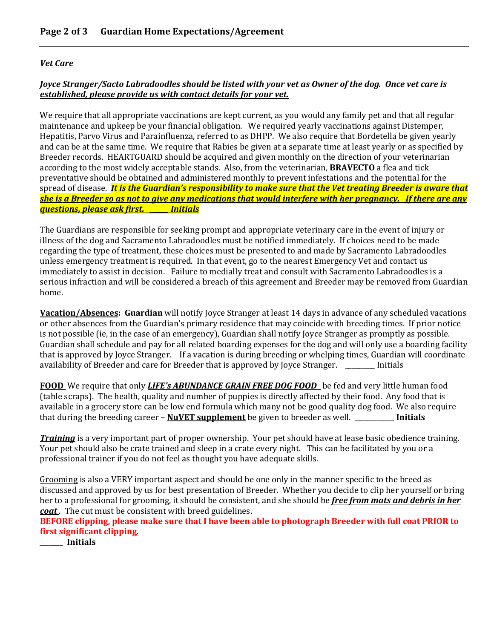#### *Vet Care*

### *Joyce Stranger/Sacto Labradoodles should be listed with your vet as Owner of the dog. Once vet care is established, please provide us with contact details for your vet.*

We require that all appropriate vaccinations are kept current, as you would any family pet and that all regular maintenance and upkeep be your financial obligation. We required yearly vaccinations against Distemper, Hepatitis, Parvo Virus and Parainfluenza, referred to as DHPP. We also require that Bordetella be given yearly and can be at the same time. We require that Rabies be given at a separate time at least yearly or as specified by Breeder records. HEARTGUARD should be acquired and given monthly on the direction of your veterinarian according to the most widely acceptable stands. Also, from the veterinarian, **BRAVECTO** a flea and tick preventative should be obtained and administered monthly to prevent infestations and the potential for the spread of disease. *It is the Guardian's responsibility to make sure that the Vet treating Breeder is aware that she is a Breeder so as not to give any medications that would interfere with her pregnancy. If there are any questions, please ask first. \_\_\_\_\_\_ Initials*

The Guardians are responsible for seeking prompt and appropriate veterinary care in the event of injury or illness of the dog and Sacramento Labradoodles must be notified immediately. If choices need to be made regarding the type of treatment, these choices must be presented to and made by Sacramento Labradoodles unless emergency treatment is required. In that event, go to the nearest Emergency Vet and contact us immediately to assist in decision. Failure to medially treat and consult with Sacramento Labradoodles is a serious infraction and will be considered a breach of this agreement and Breeder may be removed from Guardian home.

**Vacation/Absences: Guardian** will notify Joyce Stranger at least 14 days in advance of any scheduled vacations or other absences from the Guardian's primary residence that may coincide with breeding times. If prior notice is not possible (ie, in the case of an emergency), Guardian shall notify Joyce Stranger as promptly as possible. Guardian shall schedule and pay for all related boarding expenses for the dog and will only use a boarding facility that is approved by Joyce Stranger. If a vacation is during breeding or whelping times, Guardian will coordinate availability of Breeder and care for Breeder that is approved by Joyce Stranger. \_\_\_\_\_\_\_\_\_ Initials

**FOOD** We require that only *LIFE's ABUNDANCE GRAIN FREE DOG FOOD* be fed and very little human food (table scraps). The health, quality and number of puppies is directly affected by their food. Any food that is available in a grocery store can be low end formula which many not be good quality dog food. We also require that during the breeding career – **NuVET supplement** be given to breeder as well. \_\_\_\_\_\_\_\_\_\_\_\_ **Initials** 

*Training* is a very important part of proper ownership. Your pet should have at lease basic obedience training. Your pet should also be crate trained and sleep in a crate every night. This can be facilitated by you or a professional trainer if you do not feel as thought you have adequate skills.

Grooming is also a VERY important aspect and should be one only in the manner specific to the breed as discussed and approved by us for best presentation of Breeder. Whether you decide to clip her yourself or bring her to a professional for grooming, it should be consistent, and she should be *free from mats and debris in her coat* . The cut must be consistent with breed guidelines.

**BEFORE clipping, please make sure that I have been able to photograph Breeder with full coat PRIOR to first significant clipping**.

\_\_\_\_\_\_\_ **Initials**